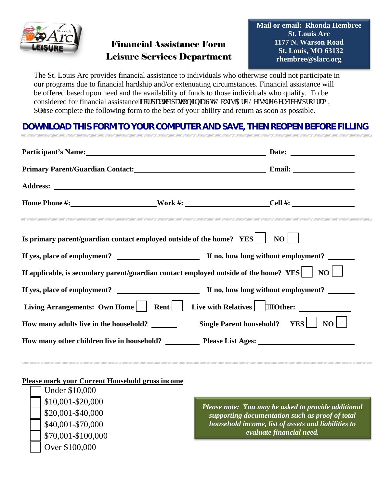

## Financial Assistance Form Leisure Services Department

The St. Louis Arc provides financial assistance to individuals who otherwise could not participate in our programs due to financial hardship and/or extenuating circumstances. Financial assistance will be offered based upon need and the availability of funds to those individuals who qualify. To be considered for financial assistance 'hqt'r ct wek cwqp'lor'c 'UtONqwku'Cte 'Ngkuwtg'Ugtxkegu'r tqi tco, r rgase complete the following form to the best of your ability and return as soon as possible.

## **DOWNLOAD THIS FORM TO YOUR COMPUTER AND SAVE, THEN REOPEN BEFORE FILLING**

|                                                                                                          | Participant's Name: Date: Date:                       |  |  |  |
|----------------------------------------------------------------------------------------------------------|-------------------------------------------------------|--|--|--|
|                                                                                                          | Primary Parent/Guardian Contact: Email: Email: Email: |  |  |  |
|                                                                                                          |                                                       |  |  |  |
|                                                                                                          | Home Phone #: Nork #: Nork #: Cell #:                 |  |  |  |
| Is primary parent/guardian contact employed outside of the home? YES  <br>NO                             |                                                       |  |  |  |
|                                                                                                          |                                                       |  |  |  |
| If applicable, is secondary parent/guardian contact employed outside of the home? YES $\vert$ NO $\vert$ |                                                       |  |  |  |
|                                                                                                          |                                                       |  |  |  |
| Living Arrangements: Own Home     Rent                                                                   | Live with Relatives   www.Other:                      |  |  |  |
| How many adults live in the household? _______                                                           | Single Parent household? YES<br>NO                    |  |  |  |
|                                                                                                          |                                                       |  |  |  |

## **Please mark your Current Household gross income**

| <b>Under \$10,000</b> |
|-----------------------|
| \$10,001-\$20,000     |
| \$20,001-\$40,000     |
| \$40,001-\$70,000     |
| \$70,001-\$100,000    |
| Over \$100,000        |

*Please note: You may be asked to provide additional supporting documentation such as proof of total household income, list of assets and liabilities to evaluate financial need.*